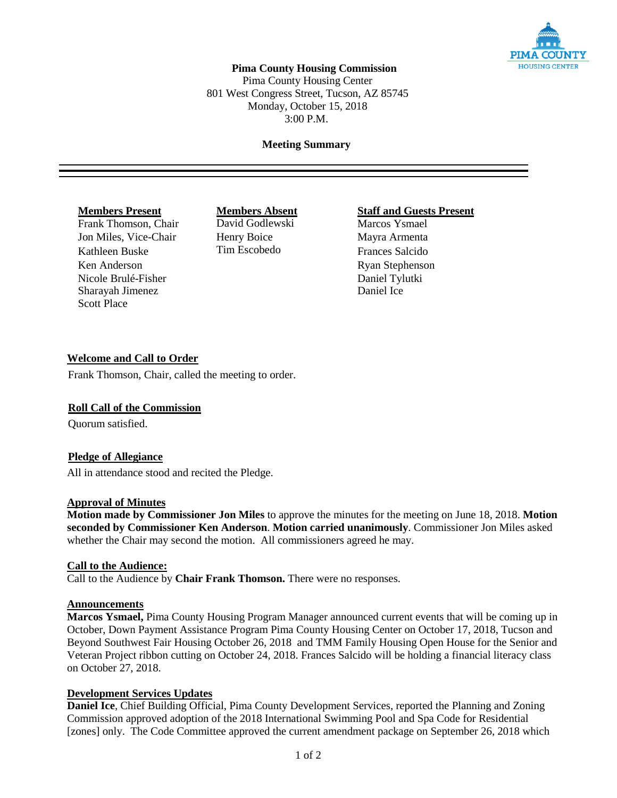

# **Pima County Housing Commission**

Pima County Housing Center 801 West Congress Street, Tucson, AZ 85745 Monday, October 15, 2018 3:00 P.M.

## **Meeting Summary**

Frank Thomson, Chair Jon Miles, Vice-Chair Henry Boice Mayra Armenta Kathleen Buske Tim Escobedo Frances Salcido Ken Anderson Ryan Stephenson Nicole Brulé-Fisher Daniel Tylutki Sharayah Jimenez Daniel Ice Scott Place

# **Members Present**<br> **Members Absent**<br> **Staff and Guests Present**<br> **Marcos Ysmael**

## **Welcome and Call to Order**

Frank Thomson, Chair, called the meeting to order.

#### **Roll Call of the Commission**

Quorum satisfied.

#### **Pledge of Allegiance**

All in attendance stood and recited the Pledge.

#### **Approval of Minutes**

**Motion made by Commissioner Jon Miles** to approve the minutes for the meeting on June 18, 2018. **Motion seconded by Commissioner Ken Anderson**. **Motion carried unanimously**. Commissioner Jon Miles asked whether the Chair may second the motion. All commissioners agreed he may.

#### **Call to the Audience:**

Call to the Audience by **Chair Frank Thomson.** There were no responses.

## **Announcements**

**Marcos Ysmael,** Pima County Housing Program Manager announced current events that will be coming up in October, Down Payment Assistance Program Pima County Housing Center on October 17, 2018, Tucson and Beyond Southwest Fair Housing October 26, 2018 and TMM Family Housing Open House for the Senior and Veteran Project ribbon cutting on October 24, 2018. Frances Salcido will be holding a financial literacy class on October 27, 2018.

#### **Development Services Updates**

**Daniel Ice**, Chief Building Official, Pima County Development Services, reported the Planning and Zoning Commission approved adoption of the 2018 International Swimming Pool and Spa Code for Residential [zones] only. The Code Committee approved the current amendment package on September 26, 2018 which